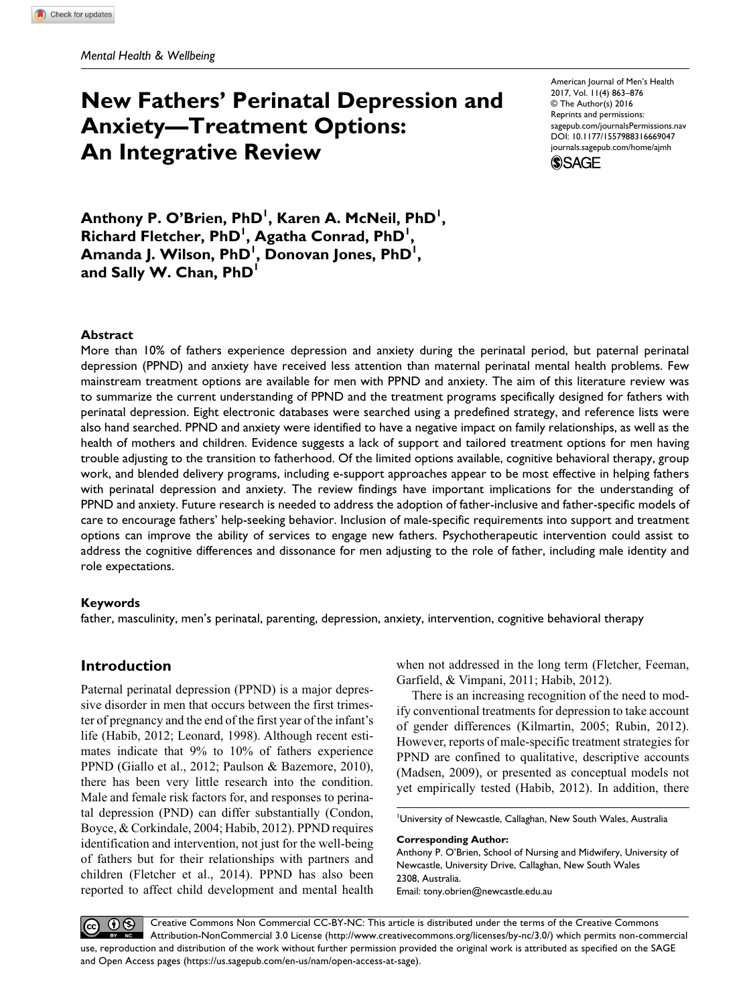# **New Fathers' Perinatal Depression and Anxiety—Treatment Options: An Integrative Review**

American Journal of Men's Health 2017, Vol. 11(4) 863–876 © The Author(s) 2016 Reprints and permissions: [sagepub.com/journalsPermissions.nav](http://sagepub.com/journalsPermissions.nav) DOI: [10.1177/1557988316669047](http://doi.org/10.1177/1557988316669047) [journals.sagepub.com/home/ajmh](http://journals.sagepub.com/home/ajmh)



Anthony P. O'Brien, PhD<sup>I</sup>, Karen A. McNeil, PhD<sup>I</sup>, Richard Fletcher, PhD<sup>1</sup>, Agatha Conrad, PhD<sup>1</sup>, **Amanda J. Wilson, PhD1 , Donovan Jones, PhD1 ,**  and Sally W. Chan, PhD<sup>1</sup>

### **Abstract**

More than 10% of fathers experience depression and anxiety during the perinatal period, but paternal perinatal depression (PPND) and anxiety have received less attention than maternal perinatal mental health problems. Few mainstream treatment options are available for men with PPND and anxiety. The aim of this literature review was to summarize the current understanding of PPND and the treatment programs specifically designed for fathers with perinatal depression. Eight electronic databases were searched using a predefined strategy, and reference lists were also hand searched. PPND and anxiety were identified to have a negative impact on family relationships, as well as the health of mothers and children. Evidence suggests a lack of support and tailored treatment options for men having trouble adjusting to the transition to fatherhood. Of the limited options available, cognitive behavioral therapy, group work, and blended delivery programs, including e-support approaches appear to be most effective in helping fathers with perinatal depression and anxiety. The review findings have important implications for the understanding of PPND and anxiety. Future research is needed to address the adoption of father-inclusive and father-specific models of care to encourage fathers' help-seeking behavior. Inclusion of male-specific requirements into support and treatment options can improve the ability of services to engage new fathers. Psychotherapeutic intervention could assist to address the cognitive differences and dissonance for men adjusting to the role of father, including male identity and role expectations.

#### **Keywords**

father, masculinity, men's perinatal, parenting, depression, anxiety, intervention, cognitive behavioral therapy

### **Introduction**

Paternal perinatal depression (PPND) is a major depressive disorder in men that occurs between the first trimester of pregnancy and the end of the first year of the infant's life (Habib, 2012; Leonard, 1998). Although recent estimates indicate that 9% to 10% of fathers experience PPND (Giallo et al., 2012; Paulson & Bazemore, 2010), there has been very little research into the condition. Male and female risk factors for, and responses to perinatal depression (PND) can differ substantially (Condon, Boyce, & Corkindale, 2004; Habib, 2012). PPND requires identification and intervention, not just for the well-being of fathers but for their relationships with partners and children (Fletcher et al., 2014). PPND has also been reported to affect child development and mental health when not addressed in the long term (Fletcher, Feeman, Garfield, & Vimpani, 2011; Habib, 2012).

There is an increasing recognition of the need to modify conventional treatments for depression to take account of gender differences (Kilmartin, 2005; Rubin, 2012). However, reports of male-specific treatment strategies for PPND are confined to qualitative, descriptive accounts (Madsen, 2009), or presented as conceptual models not yet empirically tested (Habib, 2012). In addition, there

1 University of Newcastle, Callaghan, New South Wales, Australia

#### **Corresponding Author:**

Anthony P. O'Brien, School of Nursing and Midwifery, University of Newcastle, University Drive, Callaghan, New South Wales 2308, Australia. Email: [tony.obrien@newcastle.edu.au](mailto:tony.obrien@newcastle.edu.au)

Creative Commons Non Commercial CC-BY-NC: This article is distributed under the terms of the Creative Commons  $\odot$  $\left(\mathrm{cc}\right)$ Attribution-NonCommercial 3.0 License (http://www.creativecommons.org/licenses/by-nc/3.0/) which permits non-commercial use, reproduction and distribution of the work without further permission provided the original work is attributed as specified on the SAGE and Open Access pages (https://us.sagepub.com/en-us/nam/open-access-at-sage).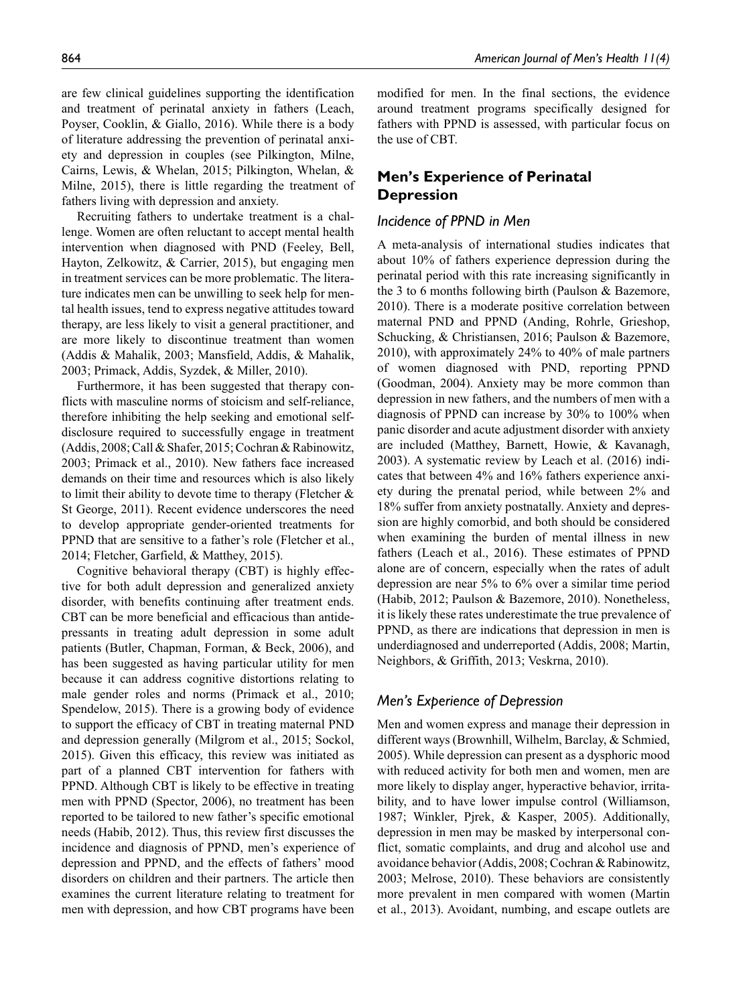are few clinical guidelines supporting the identification and treatment of perinatal anxiety in fathers (Leach, Poyser, Cooklin, & Giallo, 2016). While there is a body of literature addressing the prevention of perinatal anxiety and depression in couples (see Pilkington, Milne, Cairns, Lewis, & Whelan, 2015; Pilkington, Whelan, & Milne, 2015), there is little regarding the treatment of fathers living with depression and anxiety.

Recruiting fathers to undertake treatment is a challenge. Women are often reluctant to accept mental health intervention when diagnosed with PND (Feeley, Bell, Hayton, Zelkowitz, & Carrier, 2015), but engaging men in treatment services can be more problematic. The literature indicates men can be unwilling to seek help for mental health issues, tend to express negative attitudes toward therapy, are less likely to visit a general practitioner, and are more likely to discontinue treatment than women (Addis & Mahalik, 2003; Mansfield, Addis, & Mahalik, 2003; Primack, Addis, Syzdek, & Miller, 2010).

Furthermore, it has been suggested that therapy conflicts with masculine norms of stoicism and self-reliance, therefore inhibiting the help seeking and emotional selfdisclosure required to successfully engage in treatment (Addis, 2008; Call & Shafer, 2015; Cochran & Rabinowitz, 2003; Primack et al., 2010). New fathers face increased demands on their time and resources which is also likely to limit their ability to devote time to therapy (Fletcher & St George, 2011). Recent evidence underscores the need to develop appropriate gender-oriented treatments for PPND that are sensitive to a father's role (Fletcher et al., 2014; Fletcher, Garfield, & Matthey, 2015).

Cognitive behavioral therapy (CBT) is highly effective for both adult depression and generalized anxiety disorder, with benefits continuing after treatment ends. CBT can be more beneficial and efficacious than antidepressants in treating adult depression in some adult patients (Butler, Chapman, Forman, & Beck, 2006), and has been suggested as having particular utility for men because it can address cognitive distortions relating to male gender roles and norms (Primack et al., 2010; Spendelow, 2015). There is a growing body of evidence to support the efficacy of CBT in treating maternal PND and depression generally (Milgrom et al., 2015; Sockol, 2015). Given this efficacy, this review was initiated as part of a planned CBT intervention for fathers with PPND. Although CBT is likely to be effective in treating men with PPND (Spector, 2006), no treatment has been reported to be tailored to new father's specific emotional needs (Habib, 2012). Thus, this review first discusses the incidence and diagnosis of PPND, men's experience of depression and PPND, and the effects of fathers' mood disorders on children and their partners. The article then examines the current literature relating to treatment for men with depression, and how CBT programs have been modified for men. In the final sections, the evidence around treatment programs specifically designed for fathers with PPND is assessed, with particular focus on the use of CBT.

# **Men's Experience of Perinatal Depression**

### *Incidence of PPND in Men*

A meta-analysis of international studies indicates that about 10% of fathers experience depression during the perinatal period with this rate increasing significantly in the 3 to 6 months following birth (Paulson & Bazemore, 2010). There is a moderate positive correlation between maternal PND and PPND (Anding, Rohrle, Grieshop, Schucking, & Christiansen, 2016; Paulson & Bazemore, 2010), with approximately 24% to 40% of male partners of women diagnosed with PND, reporting PPND (Goodman, 2004). Anxiety may be more common than depression in new fathers, and the numbers of men with a diagnosis of PPND can increase by 30% to 100% when panic disorder and acute adjustment disorder with anxiety are included (Matthey, Barnett, Howie, & Kavanagh, 2003). A systematic review by Leach et al. (2016) indicates that between 4% and 16% fathers experience anxiety during the prenatal period, while between 2% and 18% suffer from anxiety postnatally. Anxiety and depression are highly comorbid, and both should be considered when examining the burden of mental illness in new fathers (Leach et al., 2016). These estimates of PPND alone are of concern, especially when the rates of adult depression are near 5% to 6% over a similar time period (Habib, 2012; Paulson & Bazemore, 2010). Nonetheless, it is likely these rates underestimate the true prevalence of PPND, as there are indications that depression in men is underdiagnosed and underreported (Addis, 2008; Martin, Neighbors, & Griffith, 2013; Veskrna, 2010).

### *Men's Experience of Depression*

Men and women express and manage their depression in different ways (Brownhill, Wilhelm, Barclay, & Schmied, 2005). While depression can present as a dysphoric mood with reduced activity for both men and women, men are more likely to display anger, hyperactive behavior, irritability, and to have lower impulse control (Williamson, 1987; Winkler, Pjrek, & Kasper, 2005). Additionally, depression in men may be masked by interpersonal conflict, somatic complaints, and drug and alcohol use and avoidance behavior (Addis, 2008; Cochran & Rabinowitz, 2003; Melrose, 2010). These behaviors are consistently more prevalent in men compared with women (Martin et al., 2013). Avoidant, numbing, and escape outlets are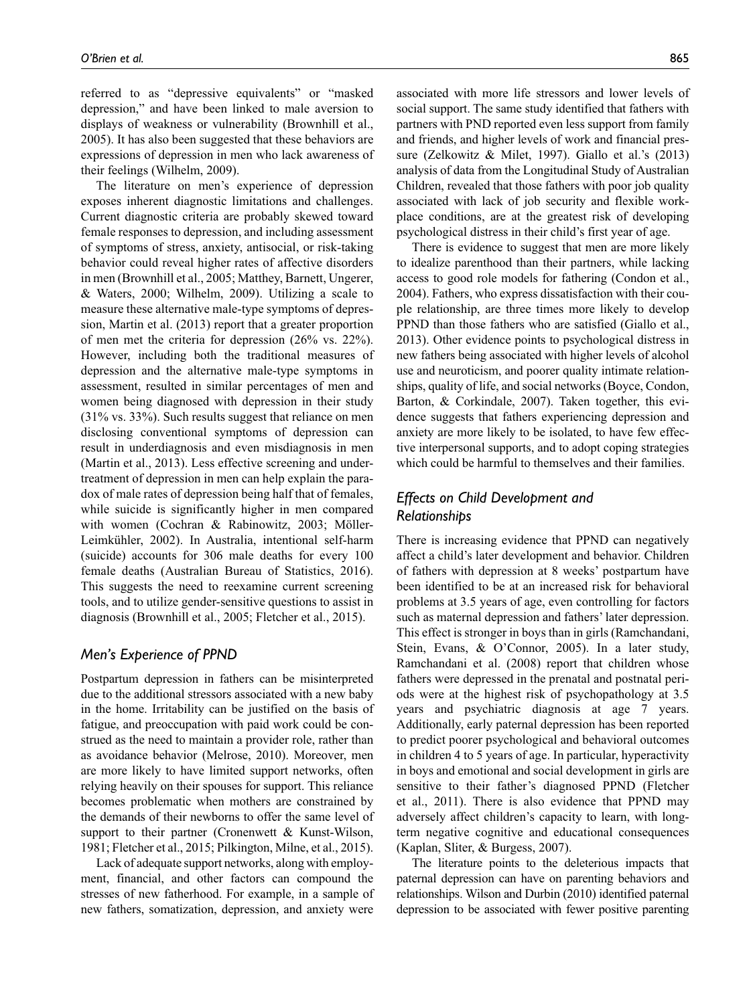referred to as "depressive equivalents" or "masked depression," and have been linked to male aversion to displays of weakness or vulnerability (Brownhill et al., 2005). It has also been suggested that these behaviors are expressions of depression in men who lack awareness of their feelings (Wilhelm, 2009).

The literature on men's experience of depression exposes inherent diagnostic limitations and challenges. Current diagnostic criteria are probably skewed toward female responses to depression, and including assessment of symptoms of stress, anxiety, antisocial, or risk-taking behavior could reveal higher rates of affective disorders in men (Brownhill et al., 2005; Matthey, Barnett, Ungerer, & Waters, 2000; Wilhelm, 2009). Utilizing a scale to measure these alternative male-type symptoms of depression, Martin et al. (2013) report that a greater proportion of men met the criteria for depression (26% vs. 22%). However, including both the traditional measures of depression and the alternative male-type symptoms in assessment, resulted in similar percentages of men and women being diagnosed with depression in their study (31% vs. 33%). Such results suggest that reliance on men disclosing conventional symptoms of depression can result in underdiagnosis and even misdiagnosis in men (Martin et al., 2013). Less effective screening and undertreatment of depression in men can help explain the paradox of male rates of depression being half that of females, while suicide is significantly higher in men compared with women (Cochran & Rabinowitz, 2003; Möller-Leimkühler, 2002). In Australia, intentional self-harm (suicide) accounts for 306 male deaths for every 100 female deaths (Australian Bureau of Statistics, 2016). This suggests the need to reexamine current screening tools, and to utilize gender-sensitive questions to assist in diagnosis (Brownhill et al., 2005; Fletcher et al., 2015).

### *Men's Experience of PPND*

Postpartum depression in fathers can be misinterpreted due to the additional stressors associated with a new baby in the home. Irritability can be justified on the basis of fatigue, and preoccupation with paid work could be construed as the need to maintain a provider role, rather than as avoidance behavior (Melrose, 2010). Moreover, men are more likely to have limited support networks, often relying heavily on their spouses for support. This reliance becomes problematic when mothers are constrained by the demands of their newborns to offer the same level of support to their partner (Cronenwett & Kunst-Wilson, 1981; Fletcher et al., 2015; Pilkington, Milne, et al., 2015).

Lack of adequate support networks, along with employment, financial, and other factors can compound the stresses of new fatherhood. For example, in a sample of new fathers, somatization, depression, and anxiety were

associated with more life stressors and lower levels of social support. The same study identified that fathers with partners with PND reported even less support from family and friends, and higher levels of work and financial pressure (Zelkowitz & Milet, 1997). Giallo et al.'s (2013) analysis of data from the Longitudinal Study of Australian Children, revealed that those fathers with poor job quality associated with lack of job security and flexible workplace conditions, are at the greatest risk of developing psychological distress in their child's first year of age.

There is evidence to suggest that men are more likely to idealize parenthood than their partners, while lacking access to good role models for fathering (Condon et al., 2004). Fathers, who express dissatisfaction with their couple relationship, are three times more likely to develop PPND than those fathers who are satisfied (Giallo et al., 2013). Other evidence points to psychological distress in new fathers being associated with higher levels of alcohol use and neuroticism, and poorer quality intimate relationships, quality of life, and social networks (Boyce, Condon, Barton, & Corkindale, 2007). Taken together, this evidence suggests that fathers experiencing depression and anxiety are more likely to be isolated, to have few effective interpersonal supports, and to adopt coping strategies which could be harmful to themselves and their families.

## *Effects on Child Development and Relationships*

There is increasing evidence that PPND can negatively affect a child's later development and behavior. Children of fathers with depression at 8 weeks' postpartum have been identified to be at an increased risk for behavioral problems at 3.5 years of age, even controlling for factors such as maternal depression and fathers' later depression. This effect is stronger in boys than in girls (Ramchandani, Stein, Evans, & O'Connor, 2005). In a later study, Ramchandani et al. (2008) report that children whose fathers were depressed in the prenatal and postnatal periods were at the highest risk of psychopathology at 3.5 years and psychiatric diagnosis at age 7 years. Additionally, early paternal depression has been reported to predict poorer psychological and behavioral outcomes in children 4 to 5 years of age. In particular, hyperactivity in boys and emotional and social development in girls are sensitive to their father's diagnosed PPND (Fletcher et al., 2011). There is also evidence that PPND may adversely affect children's capacity to learn, with longterm negative cognitive and educational consequences (Kaplan, Sliter, & Burgess, 2007).

The literature points to the deleterious impacts that paternal depression can have on parenting behaviors and relationships. Wilson and Durbin (2010) identified paternal depression to be associated with fewer positive parenting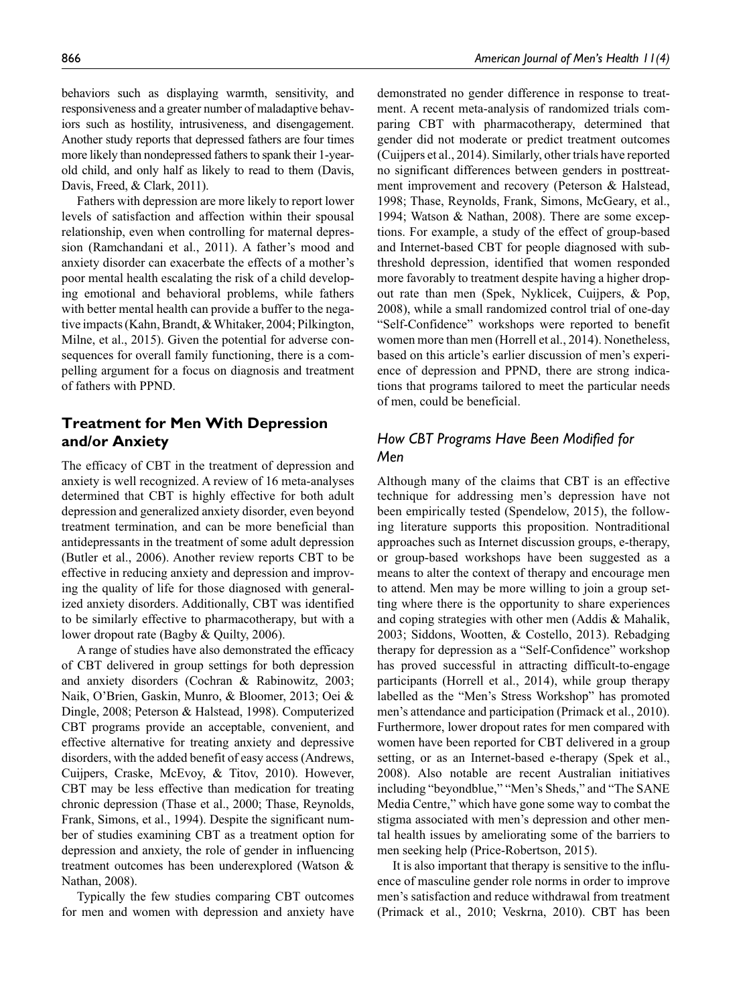behaviors such as displaying warmth, sensitivity, and responsiveness and a greater number of maladaptive behaviors such as hostility, intrusiveness, and disengagement. Another study reports that depressed fathers are four times more likely than nondepressed fathers to spank their 1-yearold child, and only half as likely to read to them (Davis, Davis, Freed, & Clark, 2011).

Fathers with depression are more likely to report lower levels of satisfaction and affection within their spousal relationship, even when controlling for maternal depression (Ramchandani et al., 2011). A father's mood and anxiety disorder can exacerbate the effects of a mother's poor mental health escalating the risk of a child developing emotional and behavioral problems, while fathers with better mental health can provide a buffer to the negative impacts (Kahn, Brandt, & Whitaker, 2004; Pilkington, Milne, et al., 2015). Given the potential for adverse consequences for overall family functioning, there is a compelling argument for a focus on diagnosis and treatment of fathers with PPND.

# **Treatment for Men With Depression and/or Anxiety**

The efficacy of CBT in the treatment of depression and anxiety is well recognized. A review of 16 meta-analyses determined that CBT is highly effective for both adult depression and generalized anxiety disorder, even beyond treatment termination, and can be more beneficial than antidepressants in the treatment of some adult depression (Butler et al., 2006). Another review reports CBT to be effective in reducing anxiety and depression and improving the quality of life for those diagnosed with generalized anxiety disorders. Additionally, CBT was identified to be similarly effective to pharmacotherapy, but with a lower dropout rate (Bagby & Quilty, 2006).

A range of studies have also demonstrated the efficacy of CBT delivered in group settings for both depression and anxiety disorders (Cochran & Rabinowitz, 2003; Naik, O'Brien, Gaskin, Munro, & Bloomer, 2013; Oei & Dingle, 2008; Peterson & Halstead, 1998). Computerized CBT programs provide an acceptable, convenient, and effective alternative for treating anxiety and depressive disorders, with the added benefit of easy access (Andrews, Cuijpers, Craske, McEvoy, & Titov, 2010). However, CBT may be less effective than medication for treating chronic depression (Thase et al., 2000; Thase, Reynolds, Frank, Simons, et al., 1994). Despite the significant number of studies examining CBT as a treatment option for depression and anxiety, the role of gender in influencing treatment outcomes has been underexplored (Watson & Nathan, 2008).

Typically the few studies comparing CBT outcomes for men and women with depression and anxiety have

ment. A recent meta-analysis of randomized trials comparing CBT with pharmacotherapy, determined that gender did not moderate or predict treatment outcomes (Cuijpers et al., 2014). Similarly, other trials have reported no significant differences between genders in posttreatment improvement and recovery (Peterson & Halstead, 1998; Thase, Reynolds, Frank, Simons, McGeary, et al., 1994; Watson & Nathan, 2008). There are some exceptions. For example, a study of the effect of group-based and Internet-based CBT for people diagnosed with subthreshold depression, identified that women responded more favorably to treatment despite having a higher dropout rate than men (Spek, Nyklicek, Cuijpers, & Pop, 2008), while a small randomized control trial of one-day "Self-Confidence" workshops were reported to benefit women more than men (Horrell et al., 2014). Nonetheless, based on this article's earlier discussion of men's experience of depression and PPND, there are strong indications that programs tailored to meet the particular needs of men, could be beneficial.

# *How CBT Programs Have Been Modified for Men*

Although many of the claims that CBT is an effective technique for addressing men's depression have not been empirically tested (Spendelow, 2015), the following literature supports this proposition. Nontraditional approaches such as Internet discussion groups, e-therapy, or group-based workshops have been suggested as a means to alter the context of therapy and encourage men to attend. Men may be more willing to join a group setting where there is the opportunity to share experiences and coping strategies with other men (Addis & Mahalik, 2003; Siddons, Wootten, & Costello, 2013). Rebadging therapy for depression as a "Self-Confidence" workshop has proved successful in attracting difficult-to-engage participants (Horrell et al., 2014), while group therapy labelled as the "Men's Stress Workshop" has promoted men's attendance and participation (Primack et al., 2010). Furthermore, lower dropout rates for men compared with women have been reported for CBT delivered in a group setting, or as an Internet-based e-therapy (Spek et al., 2008). Also notable are recent Australian initiatives including "beyondblue," "Men's Sheds," and "The SANE Media Centre," which have gone some way to combat the stigma associated with men's depression and other mental health issues by ameliorating some of the barriers to men seeking help (Price-Robertson, 2015).

It is also important that therapy is sensitive to the influence of masculine gender role norms in order to improve men's satisfaction and reduce withdrawal from treatment (Primack et al., 2010; Veskrna, 2010). CBT has been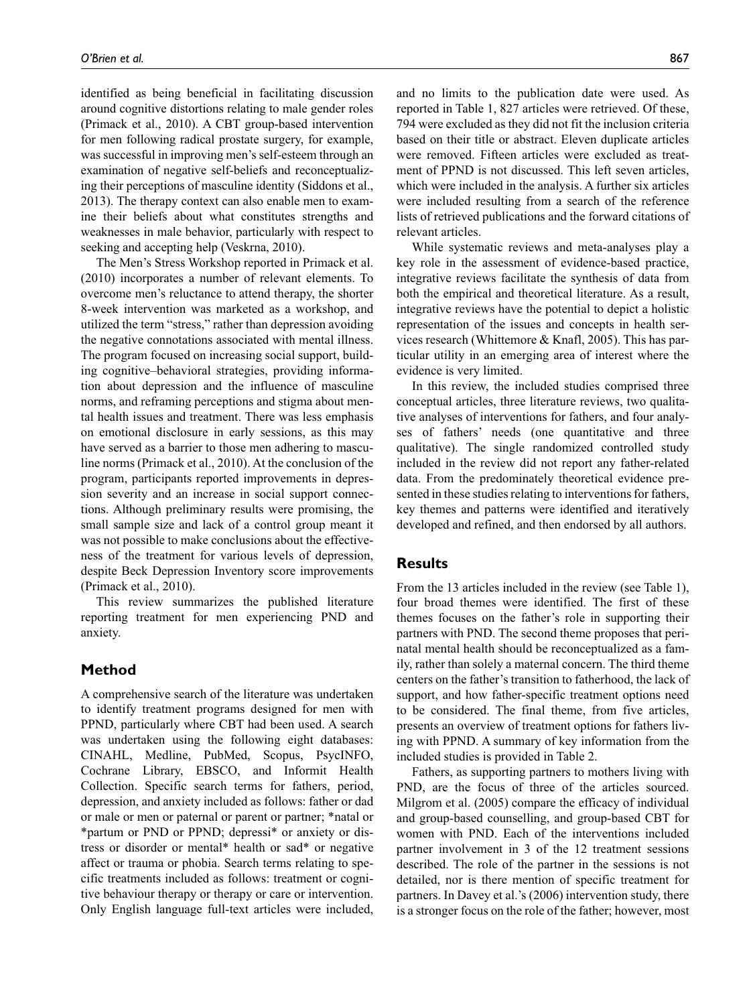identified as being beneficial in facilitating discussion around cognitive distortions relating to male gender roles (Primack et al., 2010). A CBT group-based intervention for men following radical prostate surgery, for example, was successful in improving men's self-esteem through an examination of negative self-beliefs and reconceptualizing their perceptions of masculine identity (Siddons et al., 2013). The therapy context can also enable men to examine their beliefs about what constitutes strengths and weaknesses in male behavior, particularly with respect to seeking and accepting help (Veskrna, 2010).

The Men's Stress Workshop reported in Primack et al. (2010) incorporates a number of relevant elements. To overcome men's reluctance to attend therapy, the shorter 8-week intervention was marketed as a workshop, and utilized the term "stress," rather than depression avoiding the negative connotations associated with mental illness. The program focused on increasing social support, building cognitive–behavioral strategies, providing information about depression and the influence of masculine norms, and reframing perceptions and stigma about mental health issues and treatment. There was less emphasis on emotional disclosure in early sessions, as this may have served as a barrier to those men adhering to masculine norms (Primack et al., 2010). At the conclusion of the program, participants reported improvements in depression severity and an increase in social support connections. Although preliminary results were promising, the small sample size and lack of a control group meant it was not possible to make conclusions about the effectiveness of the treatment for various levels of depression, despite Beck Depression Inventory score improvements (Primack et al., 2010).

This review summarizes the published literature reporting treatment for men experiencing PND and anxiety.

### **Method**

A comprehensive search of the literature was undertaken to identify treatment programs designed for men with PPND, particularly where CBT had been used. A search was undertaken using the following eight databases: CINAHL, Medline, PubMed, Scopus, PsycINFO, Cochrane Library, EBSCO, and Informit Health Collection. Specific search terms for fathers, period, depression, and anxiety included as follows: father or dad or male or men or paternal or parent or partner; \*natal or \*partum or PND or PPND; depressi\* or anxiety or distress or disorder or mental\* health or sad\* or negative affect or trauma or phobia. Search terms relating to specific treatments included as follows: treatment or cognitive behaviour therapy or therapy or care or intervention. Only English language full-text articles were included,

and no limits to the publication date were used. As reported in Table 1, 827 articles were retrieved. Of these, 794 were excluded as they did not fit the inclusion criteria based on their title or abstract. Eleven duplicate articles were removed. Fifteen articles were excluded as treatment of PPND is not discussed. This left seven articles, which were included in the analysis. A further six articles were included resulting from a search of the reference lists of retrieved publications and the forward citations of relevant articles.

While systematic reviews and meta-analyses play a key role in the assessment of evidence-based practice, integrative reviews facilitate the synthesis of data from both the empirical and theoretical literature. As a result, integrative reviews have the potential to depict a holistic representation of the issues and concepts in health services research (Whittemore & Knafl, 2005). This has particular utility in an emerging area of interest where the evidence is very limited.

In this review, the included studies comprised three conceptual articles, three literature reviews, two qualitative analyses of interventions for fathers, and four analyses of fathers' needs (one quantitative and three qualitative). The single randomized controlled study included in the review did not report any father-related data. From the predominately theoretical evidence presented in these studies relating to interventions for fathers, key themes and patterns were identified and iteratively developed and refined, and then endorsed by all authors.

### **Results**

From the 13 articles included in the review (see Table 1), four broad themes were identified. The first of these themes focuses on the father's role in supporting their partners with PND. The second theme proposes that perinatal mental health should be reconceptualized as a family, rather than solely a maternal concern. The third theme centers on the father's transition to fatherhood, the lack of support, and how father-specific treatment options need to be considered. The final theme, from five articles, presents an overview of treatment options for fathers living with PPND. A summary of key information from the included studies is provided in Table 2.

Fathers, as supporting partners to mothers living with PND, are the focus of three of the articles sourced. Milgrom et al. (2005) compare the efficacy of individual and group-based counselling, and group-based CBT for women with PND. Each of the interventions included partner involvement in 3 of the 12 treatment sessions described. The role of the partner in the sessions is not detailed, nor is there mention of specific treatment for partners. In Davey et al.'s (2006) intervention study, there is a stronger focus on the role of the father; however, most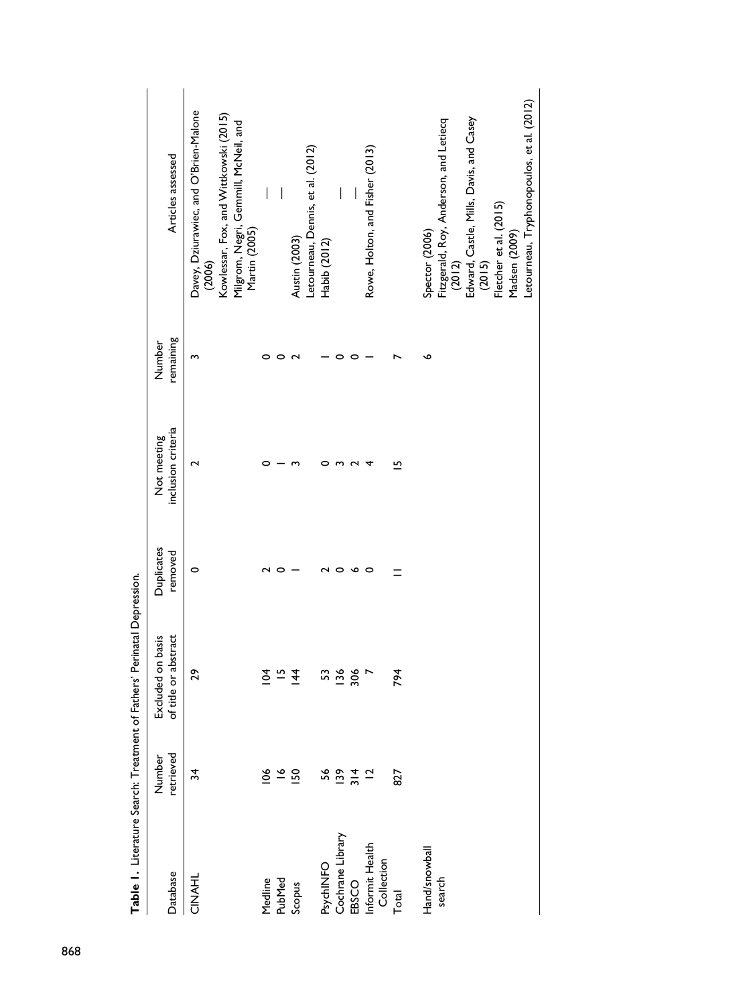| Database         | retrieved<br>Number | of title or abstract<br>Excluded on basis | Duplicates<br>removed | inclusion criteria<br>Not meeting | remaining<br>Number | Articles assessed                                                                              |
|------------------|---------------------|-------------------------------------------|-----------------------|-----------------------------------|---------------------|------------------------------------------------------------------------------------------------|
| <b>CINAHL</b>    | $\frac{1}{2}$       | 29                                        | $\circ$               | 2                                 | m                   | Davey, Dziurawiec, and O'Brien-Malone<br>(2006)                                                |
|                  |                     |                                           |                       |                                   |                     | Kowlessar, Fox, and Wittkowski (2015)<br>Milgrom, Negri, Gemmill, McNeil, and<br>Martin (2005) |
| Medline          | $\frac{8}{2}$       | $\overline{5}$                            |                       |                                   |                     |                                                                                                |
| PubMed           | $\overline{6}$      | $\overline{a}$                            | 0                     |                                   |                     | $\bigg $                                                                                       |
| Scopus           | 50                  | $\overline{4}$                            |                       |                                   |                     | Austin (2003)                                                                                  |
|                  |                     |                                           |                       |                                   |                     | Letourneau, Dennis, et al. (2012)                                                              |
| PsychINFO        |                     |                                           |                       |                                   |                     | Habib (2012)                                                                                   |
| Cochrane Library |                     |                                           |                       |                                   |                     |                                                                                                |
| EBSCO            | $3842$<br>$-22$     |                                           | ৩                     |                                   |                     |                                                                                                |
| Informit Health  |                     |                                           | 0                     |                                   |                     | Rowe, Holton, and Fisher (2013)                                                                |
| Collection       |                     |                                           |                       |                                   |                     |                                                                                                |
| Total            | 827                 | 794                                       |                       | ഗ                                 |                     |                                                                                                |
| Hand/snowball    |                     |                                           |                       |                                   | ۰                   | Spector (2006)                                                                                 |
| search           |                     |                                           |                       |                                   |                     | Fitzgerald, Roy, Anderson, and Letiecq<br>(2012)                                               |
|                  |                     |                                           |                       |                                   |                     | Edward, Castle, Mills, Davis, and Casey<br>(2015)                                              |
|                  |                     |                                           |                       |                                   |                     | Fletcher et al. (2015)                                                                         |
|                  |                     |                                           |                       |                                   |                     | Madsen (2009)                                                                                  |
|                  |                     |                                           |                       |                                   |                     | Letourneau, Tryphonopoulos, et al. (2012)                                                      |

Table 1. Literature Search: Treatment of Fathers' Perinatal Depression. **Table 1.** Literature Search: Treatment of Fathers' Perinatal Depression.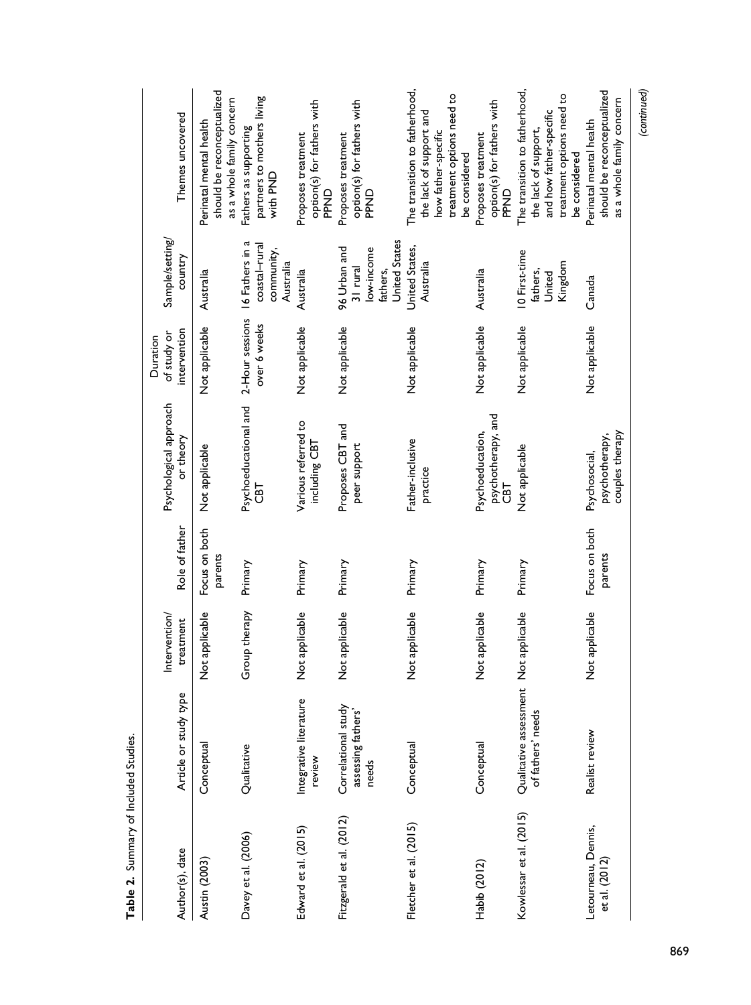| Author(s), date          | Article or study type                              | Intervention/<br>treatment  | Role of father           | Psychological approach<br>or theory                | intervention<br>of study or<br>Duration | Sample/setting/<br>country                                                 | Themes uncovered                                                                                                               |
|--------------------------|----------------------------------------------------|-----------------------------|--------------------------|----------------------------------------------------|-----------------------------------------|----------------------------------------------------------------------------|--------------------------------------------------------------------------------------------------------------------------------|
|                          | Conceptual                                         | Not applicable              | Focus on both<br>parents | Not applicable                                     | Not applicable                          | Australia                                                                  | should be reconceptualized<br>as a whole family concern<br>Perinatal mental health                                             |
| Davey et al. (2006)      | Qualitative                                        | Group therapy               | Primary                  | Psychoeducational and<br>UBL<br>تا                 | 2-Hour sessions<br>over 6 weeks         | 16 Fathers in a<br>coastal-rural<br>community,<br>Australia                | partners to mothers living<br>Fathers as supporting<br>with PND                                                                |
| Edward et al. (2015)     | Integrative literature<br>review                   | Not applicable              | Primary                  | Various referred to<br>including CBT               | Not applicable                          | Australia                                                                  | option(s) for fathers with<br>Proposes treatment<br><b>ONdd</b>                                                                |
| Fitzgerald et al. (2012) | Correlational study<br>assessing fathers'<br>needs | applicable<br>$\frac{6}{2}$ | Primary                  | Proposes CBT and<br>peer support                   | Not applicable                          | <b>United States</b><br>96 Urban and<br>low-income<br>31 rural<br>fathers, | option(s) for fathers with<br>Proposes treatment<br>오메                                                                         |
| Fletcher et al. (2015)   | Conceptual                                         | applicable<br>$\frac{5}{2}$ | Primary                  | Father-inclusive<br>practice                       | Not applicable                          | United States,<br>Australia                                                | The transition to fatherhood,<br>treatment options need to<br>the lack of support and<br>how father-specific<br>be considered  |
|                          | Conceptual                                         | Not applicable              | Primary                  | psychotherapy, and<br>Psychoeducation,<br>CBT      | Not applicable                          | Australia                                                                  | option(s) for fathers with<br>Proposes treatment<br>PPND                                                                       |
| Kowlessar et al. (2015)  | Qualitative assessment Not<br>of fathers' needs    | applicable                  | Primary                  | Not applicable                                     | Not applicable                          | 10 First-time<br>Kingdom<br>fathers,<br>United                             | The transition to fatherhood,<br>treatment options need to<br>and how father-specific<br>the lack of support,<br>be considered |
| Letourneau, Dennis,      | Realist review                                     | Not applicable              | Focus on both<br>parents | couples therapy<br>psychotherapy,<br>Psychosocial, | Not applicable                          | Canada                                                                     | should be reconceptualized<br>as a whole family concern<br>Perinatal mental health                                             |

Table 2. Summary of Included Studies. **Table 2.** Summary of Included Studies.

*(continued)*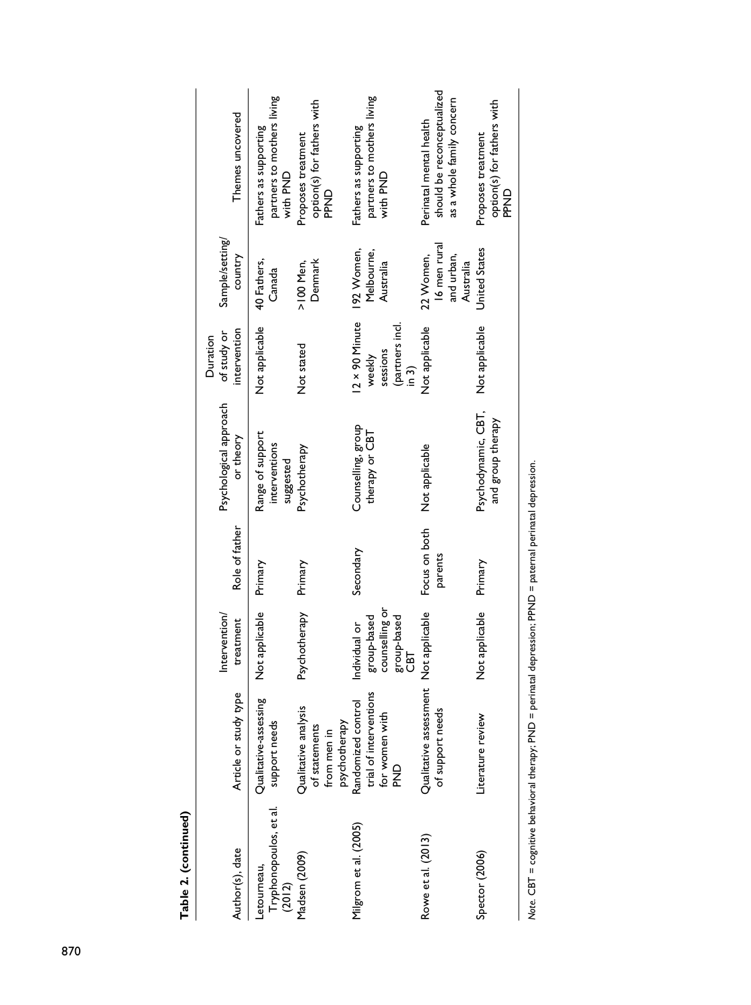| Ξ<br>Ξ<br>Ľ<br>с<br>č |  |
|-----------------------|--|
|                       |  |
| ಡಿ<br>Ξ               |  |

| Author(s), date                                 | Article or study type                                                           | Intervention/<br>treatment                                           | Role of father           | Psychological approach<br>or theory            | intervention<br>of study or<br>Duration                                 | Sample/setting/<br>country                           | Themes uncovered                                                                   |
|-------------------------------------------------|---------------------------------------------------------------------------------|----------------------------------------------------------------------|--------------------------|------------------------------------------------|-------------------------------------------------------------------------|------------------------------------------------------|------------------------------------------------------------------------------------|
| Tryphonopoulos, et al.<br>Letourneau,<br>(2012) | Qualitative-assessing<br>support needs                                          | applicable<br>ŏ                                                      | Primary                  | Range of support<br>interventions<br>suggested | Not applicable                                                          | 40 Fathers,<br>Canada                                | partners to mothers living<br>Fathers as supporting<br>with PND                    |
| Madsen (2009)                                   | Qualitative analysis<br>psychotherapy<br>of statements<br>from men in           | Psychotherapy                                                        | Primary                  | Psychotherapy                                  | Not stated                                                              | Denmark<br>>100 Men,                                 | option(s) for fathers with<br>Proposes treatment<br>오메                             |
| Milgrom et al. (2005)                           | trial of interventions<br>Randomized control<br>for women with<br>$\frac{1}{2}$ | group-based<br>counselling or<br>group-based<br>CBT<br>Individual or | Secondary                | Counselling, group<br>therapy or CBT           | 12 × 90 Minute<br>(partners incl<br>sessions<br>weekly<br>$\frac{3}{2}$ | 192 Women,<br>Melbourne,<br>Australia                | partners to mothers living<br>Fathers as supporting<br>with PND                    |
| Rowe et al. (2013)                              | Qualitative assessment Not<br>of support needs                                  | applicable                                                           | Focus on both<br>parents | Not applicable                                 | Not applicable                                                          | 16 men rural<br>and urban,<br>22 Women,<br>Australia | should be reconceptualized<br>as a whole family concern<br>Perinatal mental health |
| Spector (2006)                                  | Literature review                                                               | applicable<br>ă                                                      | Primary                  | Psychodynamic, CBT,<br>and group therapy       | Not applicable                                                          | <b>United States</b>                                 | option(s) for fathers with<br>Proposes treatment<br>울                              |

Note. CBT = cognitive behavioral therapy; PND = perinatal depression; PPND = paternal perinatal depression. *Note*. CBT = cognitive behavioral therapy; PND = perinatal depression; PPND = paternal perinatal depression.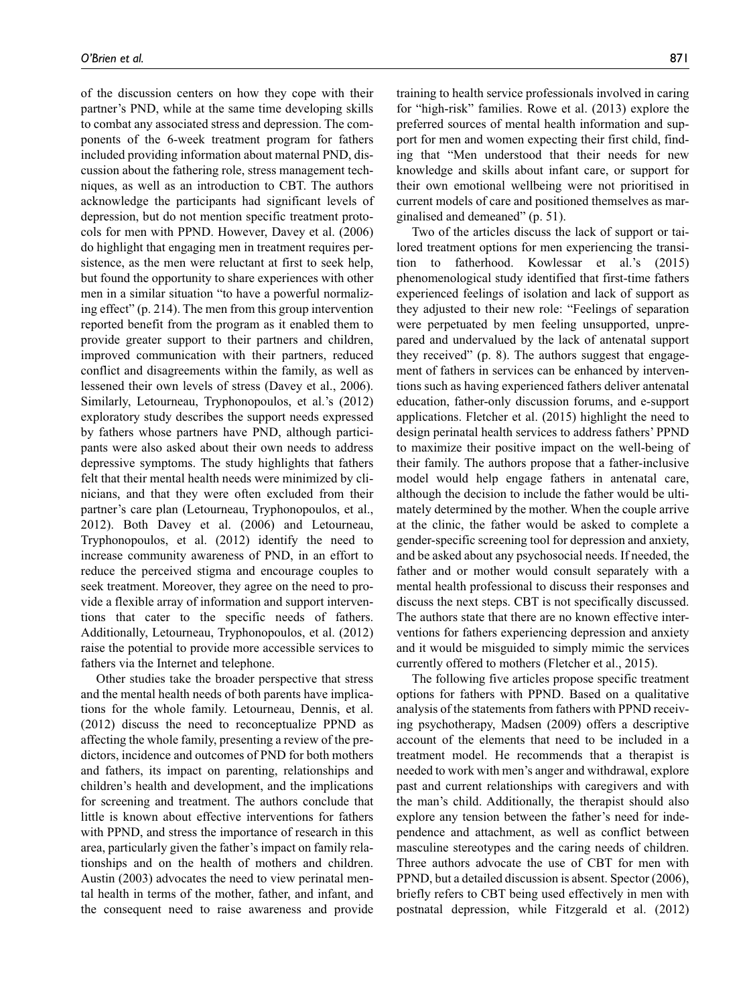of the discussion centers on how they cope with their partner's PND, while at the same time developing skills to combat any associated stress and depression. The components of the 6-week treatment program for fathers included providing information about maternal PND, discussion about the fathering role, stress management techniques, as well as an introduction to CBT. The authors acknowledge the participants had significant levels of depression, but do not mention specific treatment protocols for men with PPND. However, Davey et al. (2006) do highlight that engaging men in treatment requires persistence, as the men were reluctant at first to seek help, but found the opportunity to share experiences with other men in a similar situation "to have a powerful normalizing effect" (p. 214). The men from this group intervention reported benefit from the program as it enabled them to provide greater support to their partners and children, improved communication with their partners, reduced conflict and disagreements within the family, as well as lessened their own levels of stress (Davey et al., 2006). Similarly, Letourneau, Tryphonopoulos, et al.'s (2012) exploratory study describes the support needs expressed by fathers whose partners have PND, although participants were also asked about their own needs to address depressive symptoms. The study highlights that fathers felt that their mental health needs were minimized by clinicians, and that they were often excluded from their partner's care plan (Letourneau, Tryphonopoulos, et al., 2012). Both Davey et al. (2006) and Letourneau, Tryphonopoulos, et al. (2012) identify the need to increase community awareness of PND, in an effort to reduce the perceived stigma and encourage couples to seek treatment. Moreover, they agree on the need to provide a flexible array of information and support interventions that cater to the specific needs of fathers. Additionally, Letourneau, Tryphonopoulos, et al. (2012) raise the potential to provide more accessible services to fathers via the Internet and telephone.

Other studies take the broader perspective that stress and the mental health needs of both parents have implications for the whole family. Letourneau, Dennis, et al. (2012) discuss the need to reconceptualize PPND as affecting the whole family, presenting a review of the predictors, incidence and outcomes of PND for both mothers and fathers, its impact on parenting, relationships and children's health and development, and the implications for screening and treatment. The authors conclude that little is known about effective interventions for fathers with PPND, and stress the importance of research in this area, particularly given the father's impact on family relationships and on the health of mothers and children. Austin (2003) advocates the need to view perinatal mental health in terms of the mother, father, and infant, and the consequent need to raise awareness and provide

training to health service professionals involved in caring for "high-risk" families. Rowe et al. (2013) explore the preferred sources of mental health information and support for men and women expecting their first child, finding that "Men understood that their needs for new knowledge and skills about infant care, or support for their own emotional wellbeing were not prioritised in current models of care and positioned themselves as marginalised and demeaned" (p. 51).

Two of the articles discuss the lack of support or tailored treatment options for men experiencing the transition to fatherhood. Kowlessar et al.'s (2015) phenomenological study identified that first-time fathers experienced feelings of isolation and lack of support as they adjusted to their new role: "Feelings of separation were perpetuated by men feeling unsupported, unprepared and undervalued by the lack of antenatal support they received" (p. 8). The authors suggest that engagement of fathers in services can be enhanced by interventions such as having experienced fathers deliver antenatal education, father-only discussion forums, and e-support applications. Fletcher et al. (2015) highlight the need to design perinatal health services to address fathers' PPND to maximize their positive impact on the well-being of their family. The authors propose that a father-inclusive model would help engage fathers in antenatal care, although the decision to include the father would be ultimately determined by the mother. When the couple arrive at the clinic, the father would be asked to complete a gender-specific screening tool for depression and anxiety, and be asked about any psychosocial needs. If needed, the father and or mother would consult separately with a mental health professional to discuss their responses and discuss the next steps. CBT is not specifically discussed. The authors state that there are no known effective interventions for fathers experiencing depression and anxiety and it would be misguided to simply mimic the services currently offered to mothers (Fletcher et al., 2015).

The following five articles propose specific treatment options for fathers with PPND. Based on a qualitative analysis of the statements from fathers with PPND receiving psychotherapy, Madsen (2009) offers a descriptive account of the elements that need to be included in a treatment model. He recommends that a therapist is needed to work with men's anger and withdrawal, explore past and current relationships with caregivers and with the man's child. Additionally, the therapist should also explore any tension between the father's need for independence and attachment, as well as conflict between masculine stereotypes and the caring needs of children. Three authors advocate the use of CBT for men with PPND, but a detailed discussion is absent. Spector (2006), briefly refers to CBT being used effectively in men with postnatal depression, while Fitzgerald et al. (2012)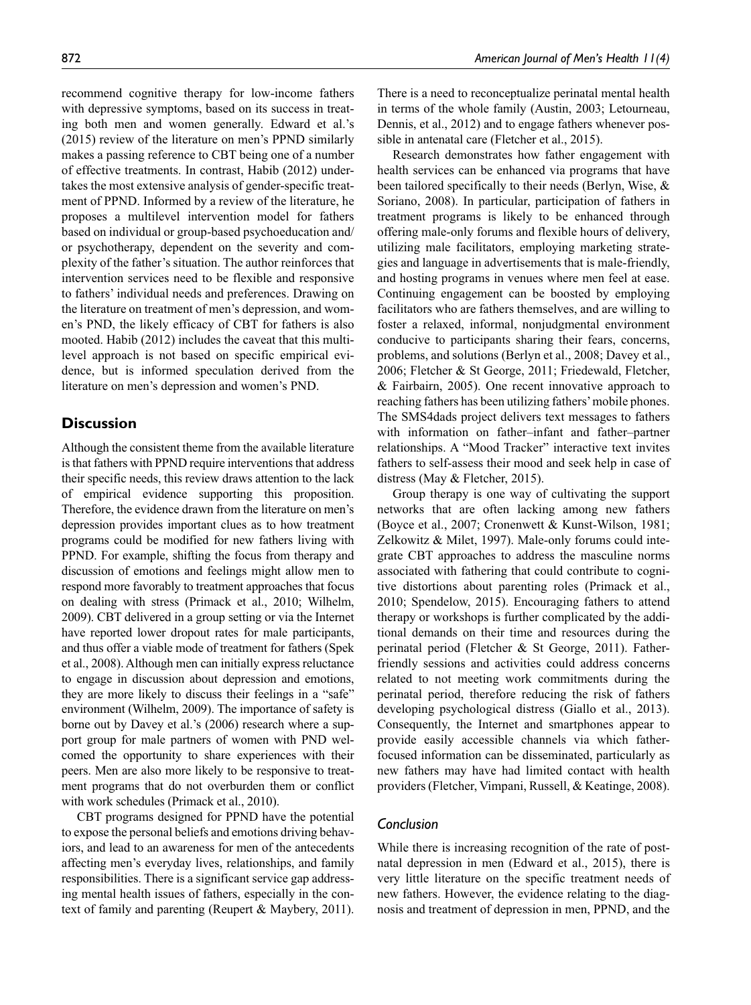recommend cognitive therapy for low-income fathers with depressive symptoms, based on its success in treating both men and women generally. Edward et al.'s (2015) review of the literature on men's PPND similarly makes a passing reference to CBT being one of a number of effective treatments. In contrast, Habib (2012) undertakes the most extensive analysis of gender-specific treatment of PPND. Informed by a review of the literature, he proposes a multilevel intervention model for fathers based on individual or group-based psychoeducation and/ or psychotherapy, dependent on the severity and complexity of the father's situation. The author reinforces that intervention services need to be flexible and responsive to fathers' individual needs and preferences. Drawing on the literature on treatment of men's depression, and women's PND, the likely efficacy of CBT for fathers is also mooted. Habib (2012) includes the caveat that this multilevel approach is not based on specific empirical evidence, but is informed speculation derived from the literature on men's depression and women's PND.

### **Discussion**

Although the consistent theme from the available literature is that fathers with PPND require interventions that address their specific needs, this review draws attention to the lack of empirical evidence supporting this proposition. Therefore, the evidence drawn from the literature on men's depression provides important clues as to how treatment programs could be modified for new fathers living with PPND. For example, shifting the focus from therapy and discussion of emotions and feelings might allow men to respond more favorably to treatment approaches that focus on dealing with stress (Primack et al., 2010; Wilhelm, 2009). CBT delivered in a group setting or via the Internet have reported lower dropout rates for male participants, and thus offer a viable mode of treatment for fathers (Spek et al., 2008). Although men can initially express reluctance to engage in discussion about depression and emotions, they are more likely to discuss their feelings in a "safe" environment (Wilhelm, 2009). The importance of safety is borne out by Davey et al.'s (2006) research where a support group for male partners of women with PND welcomed the opportunity to share experiences with their peers. Men are also more likely to be responsive to treatment programs that do not overburden them or conflict with work schedules (Primack et al., 2010).

CBT programs designed for PPND have the potential to expose the personal beliefs and emotions driving behaviors, and lead to an awareness for men of the antecedents affecting men's everyday lives, relationships, and family responsibilities. There is a significant service gap addressing mental health issues of fathers, especially in the context of family and parenting (Reupert & Maybery, 2011). There is a need to reconceptualize perinatal mental health in terms of the whole family (Austin, 2003; Letourneau, Dennis, et al., 2012) and to engage fathers whenever possible in antenatal care (Fletcher et al., 2015).

Research demonstrates how father engagement with health services can be enhanced via programs that have been tailored specifically to their needs (Berlyn, Wise, & Soriano, 2008). In particular, participation of fathers in treatment programs is likely to be enhanced through offering male-only forums and flexible hours of delivery, utilizing male facilitators, employing marketing strategies and language in advertisements that is male-friendly, and hosting programs in venues where men feel at ease. Continuing engagement can be boosted by employing facilitators who are fathers themselves, and are willing to foster a relaxed, informal, nonjudgmental environment conducive to participants sharing their fears, concerns, problems, and solutions (Berlyn et al., 2008; Davey et al., 2006; Fletcher & St George, 2011; Friedewald, Fletcher, & Fairbairn, 2005). One recent innovative approach to reaching fathers has been utilizing fathers' mobile phones. The SMS4dads project delivers text messages to fathers with information on father–infant and father–partner relationships. A "Mood Tracker" interactive text invites fathers to self-assess their mood and seek help in case of distress (May & Fletcher, 2015).

Group therapy is one way of cultivating the support networks that are often lacking among new fathers (Boyce et al., 2007; Cronenwett & Kunst-Wilson, 1981; Zelkowitz & Milet, 1997). Male-only forums could integrate CBT approaches to address the masculine norms associated with fathering that could contribute to cognitive distortions about parenting roles (Primack et al., 2010; Spendelow, 2015). Encouraging fathers to attend therapy or workshops is further complicated by the additional demands on their time and resources during the perinatal period (Fletcher & St George, 2011). Fatherfriendly sessions and activities could address concerns related to not meeting work commitments during the perinatal period, therefore reducing the risk of fathers developing psychological distress (Giallo et al., 2013). Consequently, the Internet and smartphones appear to provide easily accessible channels via which fatherfocused information can be disseminated, particularly as new fathers may have had limited contact with health providers (Fletcher, Vimpani, Russell, & Keatinge, 2008).

### *Conclusion*

While there is increasing recognition of the rate of postnatal depression in men (Edward et al., 2015), there is very little literature on the specific treatment needs of new fathers. However, the evidence relating to the diagnosis and treatment of depression in men, PPND, and the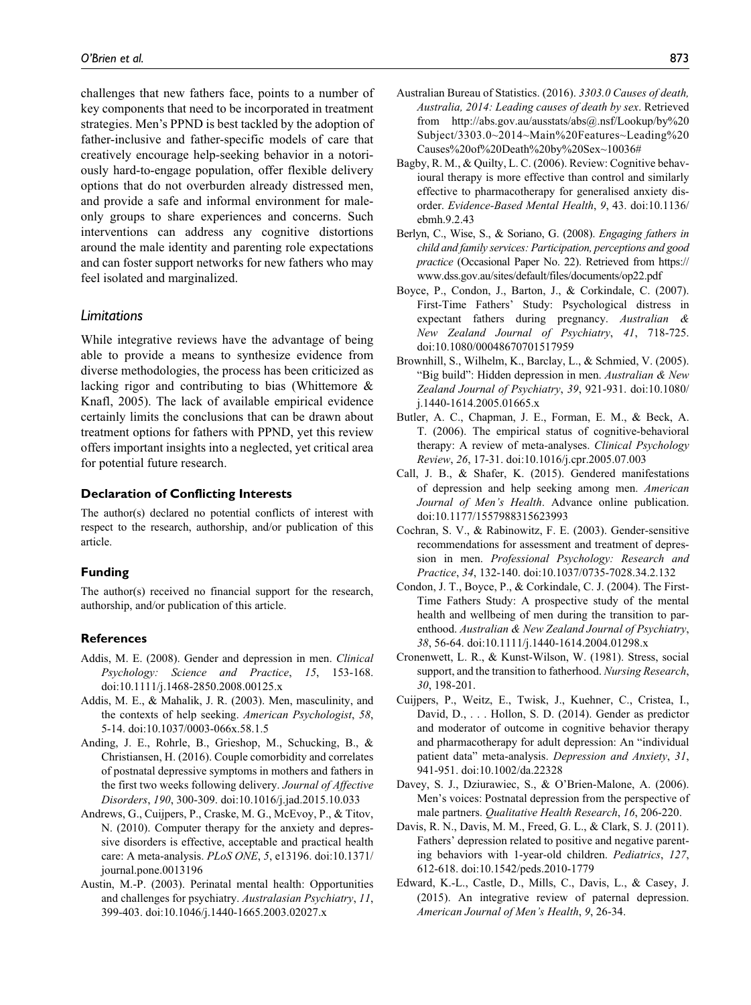challenges that new fathers face, points to a number of key components that need to be incorporated in treatment strategies. Men's PPND is best tackled by the adoption of father-inclusive and father-specific models of care that creatively encourage help-seeking behavior in a notoriously hard-to-engage population, offer flexible delivery options that do not overburden already distressed men, and provide a safe and informal environment for maleonly groups to share experiences and concerns. Such interventions can address any cognitive distortions around the male identity and parenting role expectations and can foster support networks for new fathers who may feel isolated and marginalized.

### *Limitations*

While integrative reviews have the advantage of being able to provide a means to synthesize evidence from diverse methodologies, the process has been criticized as lacking rigor and contributing to bias (Whittemore & Knafl, 2005). The lack of available empirical evidence certainly limits the conclusions that can be drawn about treatment options for fathers with PPND, yet this review offers important insights into a neglected, yet critical area for potential future research.

#### **Declaration of Conflicting Interests**

The author(s) declared no potential conflicts of interest with respect to the research, authorship, and/or publication of this article.

### **Funding**

The author(s) received no financial support for the research, authorship, and/or publication of this article.

#### **References**

- Addis, M. E. (2008). Gender and depression in men. *Clinical Psychology: Science and Practice*, *15*, 153-168. doi:10.1111/j.1468-2850.2008.00125.x
- Addis, M. E., & Mahalik, J. R. (2003). Men, masculinity, and the contexts of help seeking. *American Psychologist*, *58*, 5-14. doi:10.1037/0003-066x.58.1.5
- Anding, J. E., Rohrle, B., Grieshop, M., Schucking, B., & Christiansen, H. (2016). Couple comorbidity and correlates of postnatal depressive symptoms in mothers and fathers in the first two weeks following delivery. *Journal of Affective Disorders*, *190*, 300-309. doi:10.1016/j.jad.2015.10.033
- Andrews, G., Cuijpers, P., Craske, M. G., McEvoy, P., & Titov, N. (2010). Computer therapy for the anxiety and depressive disorders is effective, acceptable and practical health care: A meta-analysis. *PLoS ONE*, *5*, e13196. doi:10.1371/ journal.pone.0013196
- Austin, M.-P. (2003). Perinatal mental health: Opportunities and challenges for psychiatry. *Australasian Psychiatry*, *11*, 399-403. doi:10.1046/j.1440-1665.2003.02027.x
- Australian Bureau of Statistics. (2016). *3303.0 Causes of death, Australia, 2014: Leading causes of death by sex*. Retrieved from [http://abs.gov.au/ausstats/abs@](http://abs.gov.au/ausstats/abs).nsf/Lookup/by%20 Subject/3303.0~2014~Main%20Features~Leading%20 Causes%20of%20Death%20by%20Sex~10036#
- Bagby, R. M., & Quilty, L. C. (2006). Review: Cognitive behavioural therapy is more effective than control and similarly effective to pharmacotherapy for generalised anxiety disorder. *Evidence-Based Mental Health*, *9*, 43. doi:10.1136/ ebmh.9.2.43
- Berlyn, C., Wise, S., & Soriano, G. (2008). *Engaging fathers in child and family services: Participation, perceptions and good practice* (Occasional Paper No. 22). Retrieved from [https://](https://www.dss.gov.au/sites/default/files/documents/op22.pdf) [www.dss.gov.au/sites/default/files/documents/op22.pdf](https://www.dss.gov.au/sites/default/files/documents/op22.pdf)
- Boyce, P., Condon, J., Barton, J., & Corkindale, C. (2007). First-Time Fathers' Study: Psychological distress in expectant fathers during pregnancy. *Australian & New Zealand Journal of Psychiatry*, *41*, 718-725. doi:10.1080/00048670701517959
- Brownhill, S., Wilhelm, K., Barclay, L., & Schmied, V. (2005). "Big build": Hidden depression in men. *Australian & New Zealand Journal of Psychiatry*, *39*, 921-931. doi:10.1080/ j.1440-1614.2005.01665.x
- Butler, A. C., Chapman, J. E., Forman, E. M., & Beck, A. T. (2006). The empirical status of cognitive-behavioral therapy: A review of meta-analyses. *Clinical Psychology Review*, *26*, 17-31. doi:10.1016/j.cpr.2005.07.003
- Call, J. B., & Shafer, K. (2015). Gendered manifestations of depression and help seeking among men. *American Journal of Men's Health*. Advance online publication. doi:10.1177/1557988315623993
- Cochran, S. V., & Rabinowitz, F. E. (2003). Gender-sensitive recommendations for assessment and treatment of depression in men. *Professional Psychology: Research and Practice*, *34*, 132-140. doi:10.1037/0735-7028.34.2.132
- Condon, J. T., Boyce, P., & Corkindale, C. J. (2004). The First-Time Fathers Study: A prospective study of the mental health and wellbeing of men during the transition to parenthood. *Australian & New Zealand Journal of Psychiatry*, *38*, 56-64. doi:10.1111/j.1440-1614.2004.01298.x
- Cronenwett, L. R., & Kunst-Wilson, W. (1981). Stress, social support, and the transition to fatherhood. *Nursing Research*, *30*, 198-201.
- Cuijpers, P., Weitz, E., Twisk, J., Kuehner, C., Cristea, I., David, D., . . . Hollon, S. D. (2014). Gender as predictor and moderator of outcome in cognitive behavior therapy and pharmacotherapy for adult depression: An "individual patient data" meta-analysis. *Depression and Anxiety*, *31*, 941-951. doi:10.1002/da.22328
- Davey, S. J., Dziurawiec, S., & O'Brien-Malone, A. (2006). Men's voices: Postnatal depression from the perspective of male partners. *Qualitative Health Research*, *16*, 206-220.
- Davis, R. N., Davis, M. M., Freed, G. L., & Clark, S. J. (2011). Fathers' depression related to positive and negative parenting behaviors with 1-year-old children. *Pediatrics*, *127*, 612-618. doi:10.1542/peds.2010-1779
- Edward, K.-L., Castle, D., Mills, C., Davis, L., & Casey, J. (2015). An integrative review of paternal depression. *American Journal of Men's Health*, *9*, 26-34.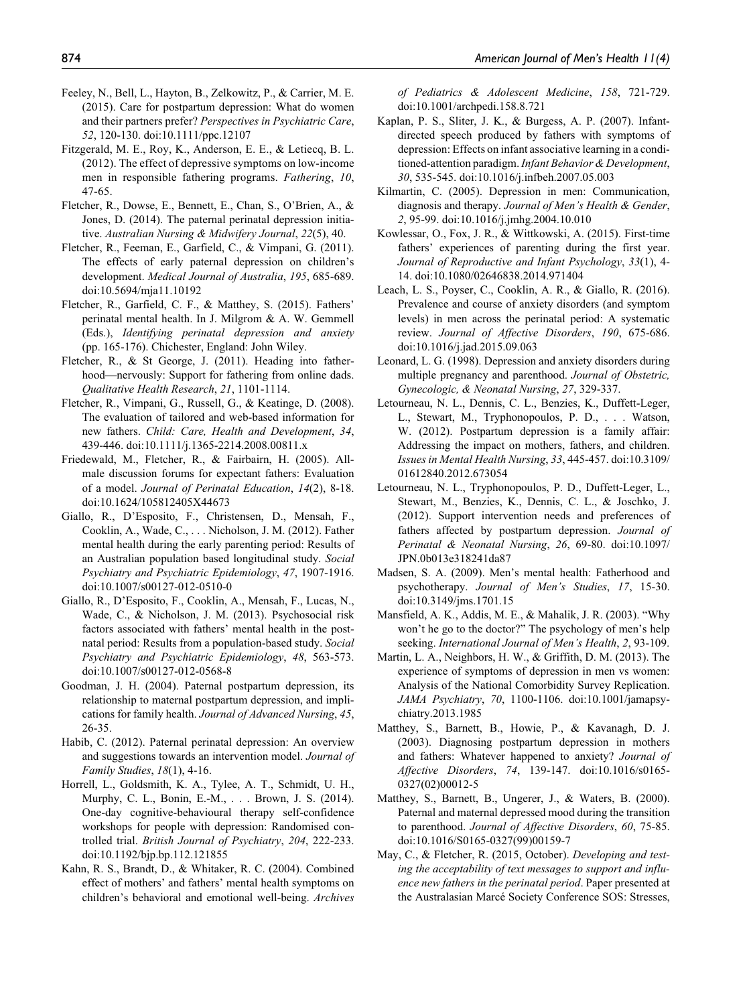- Feeley, N., Bell, L., Hayton, B., Zelkowitz, P., & Carrier, M. E. (2015). Care for postpartum depression: What do women and their partners prefer? *Perspectives in Psychiatric Care*, *52*, 120-130. doi:10.1111/ppc.12107
- Fitzgerald, M. E., Roy, K., Anderson, E. E., & Letiecq, B. L. (2012). The effect of depressive symptoms on low-income men in responsible fathering programs. *Fathering*, *10*, 47-65.
- Fletcher, R., Dowse, E., Bennett, E., Chan, S., O'Brien, A., & Jones, D. (2014). The paternal perinatal depression initiative. *Australian Nursing & Midwifery Journal*, *22*(5), 40.
- Fletcher, R., Feeman, E., Garfield, C., & Vimpani, G. (2011). The effects of early paternal depression on children's development. *Medical Journal of Australia*, *195*, 685-689. doi:10.5694/mja11.10192
- Fletcher, R., Garfield, C. F., & Matthey, S. (2015). Fathers' perinatal mental health. In J. Milgrom & A. W. Gemmell (Eds.), *Identifying perinatal depression and anxiety* (pp. 165-176). Chichester, England: John Wiley.
- Fletcher, R., & St George, J. (2011). Heading into fatherhood—nervously: Support for fathering from online dads. *Qualitative Health Research*, *21*, 1101-1114.
- Fletcher, R., Vimpani, G., Russell, G., & Keatinge, D. (2008). The evaluation of tailored and web-based information for new fathers. *Child: Care, Health and Development*, *34*, 439-446. doi:10.1111/j.1365-2214.2008.00811.x
- Friedewald, M., Fletcher, R., & Fairbairn, H. (2005). Allmale discussion forums for expectant fathers: Evaluation of a model. *Journal of Perinatal Education*, *14*(2), 8-18. doi:10.1624/105812405X44673
- Giallo, R., D'Esposito, F., Christensen, D., Mensah, F., Cooklin, A., Wade, C., . . . Nicholson, J. M. (2012). Father mental health during the early parenting period: Results of an Australian population based longitudinal study. *Social Psychiatry and Psychiatric Epidemiology*, *47*, 1907-1916. doi:10.1007/s00127-012-0510-0
- Giallo, R., D'Esposito, F., Cooklin, A., Mensah, F., Lucas, N., Wade, C., & Nicholson, J. M. (2013). Psychosocial risk factors associated with fathers' mental health in the postnatal period: Results from a population-based study. *Social Psychiatry and Psychiatric Epidemiology*, *48*, 563-573. doi:10.1007/s00127-012-0568-8
- Goodman, J. H. (2004). Paternal postpartum depression, its relationship to maternal postpartum depression, and implications for family health. *Journal of Advanced Nursing*, *45*, 26-35.
- Habib, C. (2012). Paternal perinatal depression: An overview and suggestions towards an intervention model. *Journal of Family Studies*, *18*(1), 4-16.
- Horrell, L., Goldsmith, K. A., Tylee, A. T., Schmidt, U. H., Murphy, C. L., Bonin, E.-M., . . . Brown, J. S. (2014). One-day cognitive-behavioural therapy self-confidence workshops for people with depression: Randomised controlled trial. *British Journal of Psychiatry*, *204*, 222-233. doi:10.1192/bjp.bp.112.121855
- Kahn, R. S., Brandt, D., & Whitaker, R. C. (2004). Combined effect of mothers' and fathers' mental health symptoms on children's behavioral and emotional well-being. *Archives*

*of Pediatrics & Adolescent Medicine*, *158*, 721-729. doi:10.1001/archpedi.158.8.721

- Kaplan, P. S., Sliter, J. K., & Burgess, A. P. (2007). Infantdirected speech produced by fathers with symptoms of depression: Effects on infant associative learning in a conditioned-attention paradigm. *Infant Behavior & Development*, *30*, 535-545. doi:10.1016/j.infbeh.2007.05.003
- Kilmartin, C. (2005). Depression in men: Communication, diagnosis and therapy. *Journal of Men's Health & Gender*, *2*, 95-99. doi:10.1016/j.jmhg.2004.10.010
- Kowlessar, O., Fox, J. R., & Wittkowski, A. (2015). First-time fathers' experiences of parenting during the first year. *Journal of Reproductive and Infant Psychology*, *33*(1), 4- 14. doi:10.1080/02646838.2014.971404
- Leach, L. S., Poyser, C., Cooklin, A. R., & Giallo, R. (2016). Prevalence and course of anxiety disorders (and symptom levels) in men across the perinatal period: A systematic review. *Journal of Affective Disorders*, *190*, 675-686. doi:10.1016/j.jad.2015.09.063
- Leonard, L. G. (1998). Depression and anxiety disorders during multiple pregnancy and parenthood. *Journal of Obstetric, Gynecologic, & Neonatal Nursing*, *27*, 329-337.
- Letourneau, N. L., Dennis, C. L., Benzies, K., Duffett-Leger, L., Stewart, M., Tryphonopoulos, P. D., . . . Watson, W. (2012). Postpartum depression is a family affair: Addressing the impact on mothers, fathers, and children. *Issues in Mental Health Nursing*, *33*, 445-457. doi:10.3109/ 01612840.2012.673054
- Letourneau, N. L., Tryphonopoulos, P. D., Duffett-Leger, L., Stewart, M., Benzies, K., Dennis, C. L., & Joschko, J. (2012). Support intervention needs and preferences of fathers affected by postpartum depression. *Journal of Perinatal & Neonatal Nursing*, *26*, 69-80. doi:10.1097/ JPN.0b013e318241da87
- Madsen, S. A. (2009). Men's mental health: Fatherhood and psychotherapy. *Journal of Men's Studies*, *17*, 15-30. doi:10.3149/jms.1701.15
- Mansfield, A. K., Addis, M. E., & Mahalik, J. R. (2003). "Why won't he go to the doctor?" The psychology of men's help seeking. *International Journal of Men's Health*, *2*, 93-109.
- Martin, L. A., Neighbors, H. W., & Griffith, D. M. (2013). The experience of symptoms of depression in men vs women: Analysis of the National Comorbidity Survey Replication. *JAMA Psychiatry*, *70*, 1100-1106. doi:10.1001/jamapsychiatry.2013.1985
- Matthey, S., Barnett, B., Howie, P., & Kavanagh, D. J. (2003). Diagnosing postpartum depression in mothers and fathers: Whatever happened to anxiety? *Journal of Affective Disorders*, *74*, 139-147. doi:10.1016/s0165- 0327(02)00012-5
- Matthey, S., Barnett, B., Ungerer, J., & Waters, B. (2000). Paternal and maternal depressed mood during the transition to parenthood. *Journal of Affective Disorders*, *60*, 75-85. doi:10.1016/S0165-0327(99)00159-7
- May, C., & Fletcher, R. (2015, October). *Developing and testing the acceptability of text messages to support and influence new fathers in the perinatal period*. Paper presented at the Australasian Marcé Society Conference SOS: Stresses,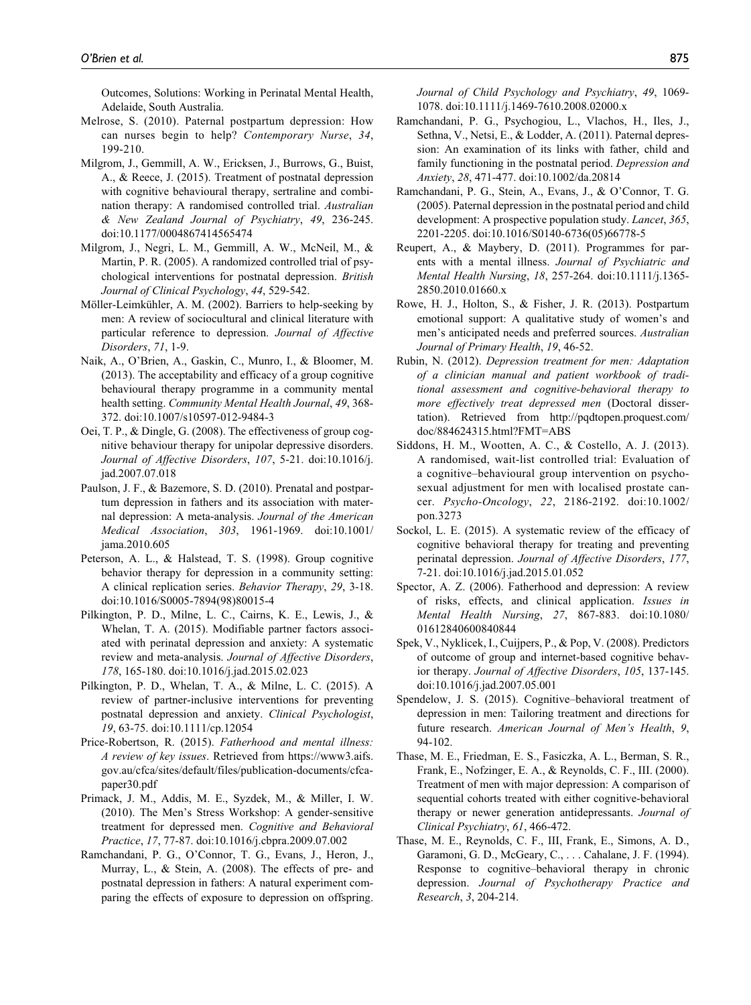Outcomes, Solutions: Working in Perinatal Mental Health, Adelaide, South Australia.

- Melrose, S. (2010). Paternal postpartum depression: How can nurses begin to help? *Contemporary Nurse*, *34*, 199-210.
- Milgrom, J., Gemmill, A. W., Ericksen, J., Burrows, G., Buist, A., & Reece, J. (2015). Treatment of postnatal depression with cognitive behavioural therapy, sertraline and combination therapy: A randomised controlled trial. *Australian & New Zealand Journal of Psychiatry*, *49*, 236-245. doi:10.1177/0004867414565474
- Milgrom, J., Negri, L. M., Gemmill, A. W., McNeil, M., & Martin, P. R. (2005). A randomized controlled trial of psychological interventions for postnatal depression. *British Journal of Clinical Psychology*, *44*, 529-542.
- Möller-Leimkühler, A. M. (2002). Barriers to help-seeking by men: A review of sociocultural and clinical literature with particular reference to depression. *Journal of Affective Disorders*, *71*, 1-9.
- Naik, A., O'Brien, A., Gaskin, C., Munro, I., & Bloomer, M. (2013). The acceptability and efficacy of a group cognitive behavioural therapy programme in a community mental health setting. *Community Mental Health Journal*, *49*, 368- 372. doi:10.1007/s10597-012-9484-3
- Oei, T. P., & Dingle, G. (2008). The effectiveness of group cognitive behaviour therapy for unipolar depressive disorders. *Journal of Affective Disorders*, *107*, 5-21. doi:10.1016/j. jad.2007.07.018
- Paulson, J. F., & Bazemore, S. D. (2010). Prenatal and postpartum depression in fathers and its association with maternal depression: A meta-analysis. *Journal of the American Medical Association*, *303*, 1961-1969. doi:10.1001/ jama.2010.605
- Peterson, A. L., & Halstead, T. S. (1998). Group cognitive behavior therapy for depression in a community setting: A clinical replication series. *Behavior Therapy*, *29*, 3-18. doi:10.1016/S0005-7894(98)80015-4
- Pilkington, P. D., Milne, L. C., Cairns, K. E., Lewis, J., & Whelan, T. A. (2015). Modifiable partner factors associated with perinatal depression and anxiety: A systematic review and meta-analysis. *Journal of Affective Disorders*, *178*, 165-180. doi:10.1016/j.jad.2015.02.023
- Pilkington, P. D., Whelan, T. A., & Milne, L. C. (2015). A review of partner-inclusive interventions for preventing postnatal depression and anxiety. *Clinical Psychologist*, *19*, 63-75. doi:10.1111/cp.12054
- Price-Robertson, R. (2015). *Fatherhood and mental illness: A review of key issues*. Retrieved from [https://www3.aifs.](https://www3.aifs.gov.au/cfca/sites/default/files/publication-documents/cfca-paper30.pdf) [gov.au/cfca/sites/default/files/publication-documents/cfca](https://www3.aifs.gov.au/cfca/sites/default/files/publication-documents/cfca-paper30.pdf)[paper30.pdf](https://www3.aifs.gov.au/cfca/sites/default/files/publication-documents/cfca-paper30.pdf)
- Primack, J. M., Addis, M. E., Syzdek, M., & Miller, I. W. (2010). The Men's Stress Workshop: A gender-sensitive treatment for depressed men. *Cognitive and Behavioral Practice*, *17*, 77-87. doi:10.1016/j.cbpra.2009.07.002
- Ramchandani, P. G., O'Connor, T. G., Evans, J., Heron, J., Murray, L., & Stein, A. (2008). The effects of pre- and postnatal depression in fathers: A natural experiment comparing the effects of exposure to depression on offspring.

*Journal of Child Psychology and Psychiatry*, *49*, 1069- 1078. doi:10.1111/j.1469-7610.2008.02000.x

- Ramchandani, P. G., Psychogiou, L., Vlachos, H., Iles, J., Sethna, V., Netsi, E., & Lodder, A. (2011). Paternal depression: An examination of its links with father, child and family functioning in the postnatal period. *Depression and Anxiety*, *28*, 471-477. doi:10.1002/da.20814
- Ramchandani, P. G., Stein, A., Evans, J., & O'Connor, T. G. (2005). Paternal depression in the postnatal period and child development: A prospective population study. *Lancet*, *365*, 2201-2205. doi:10.1016/S0140-6736(05)66778-5
- Reupert, A., & Maybery, D. (2011). Programmes for parents with a mental illness. *Journal of Psychiatric and Mental Health Nursing*, *18*, 257-264. doi:10.1111/j.1365- 2850.2010.01660.x
- Rowe, H. J., Holton, S., & Fisher, J. R. (2013). Postpartum emotional support: A qualitative study of women's and men's anticipated needs and preferred sources. *Australian Journal of Primary Health*, *19*, 46-52.
- Rubin, N. (2012). *Depression treatment for men: Adaptation of a clinician manual and patient workbook of traditional assessment and cognitive-behavioral therapy to more effectively treat depressed men* (Doctoral dissertation). Retrieved from [http://pqdtopen.proquest.com/](http://pqdtopen.proquest.com/doc/884624315.html?FMT=ABS) [doc/884624315.html?FMT=ABS](http://pqdtopen.proquest.com/doc/884624315.html?FMT=ABS)
- Siddons, H. M., Wootten, A. C., & Costello, A. J. (2013). A randomised, wait-list controlled trial: Evaluation of a cognitive–behavioural group intervention on psychosexual adjustment for men with localised prostate cancer. *Psycho-Oncology*, *22*, 2186-2192. doi:10.1002/ pon.3273
- Sockol, L. E. (2015). A systematic review of the efficacy of cognitive behavioral therapy for treating and preventing perinatal depression. *Journal of Affective Disorders*, *177*, 7-21. doi:10.1016/j.jad.2015.01.052
- Spector, A. Z. (2006). Fatherhood and depression: A review of risks, effects, and clinical application. *Issues in Mental Health Nursing*, *27*, 867-883. doi:10.1080/ 01612840600840844
- Spek, V., Nyklicek, I., Cuijpers, P., & Pop, V. (2008). Predictors of outcome of group and internet-based cognitive behavior therapy. *Journal of Affective Disorders*, *105*, 137-145. doi:10.1016/j.jad.2007.05.001
- Spendelow, J. S. (2015). Cognitive–behavioral treatment of depression in men: Tailoring treatment and directions for future research. *American Journal of Men's Health*, *9*, 94-102.
- Thase, M. E., Friedman, E. S., Fasiczka, A. L., Berman, S. R., Frank, E., Nofzinger, E. A., & Reynolds, C. F., III. (2000). Treatment of men with major depression: A comparison of sequential cohorts treated with either cognitive-behavioral therapy or newer generation antidepressants. *Journal of Clinical Psychiatry*, *61*, 466-472.
- Thase, M. E., Reynolds, C. F., III, Frank, E., Simons, A. D., Garamoni, G. D., McGeary, C., . . . Cahalane, J. F. (1994). Response to cognitive–behavioral therapy in chronic depression. *Journal of Psychotherapy Practice and Research*, *3*, 204-214.